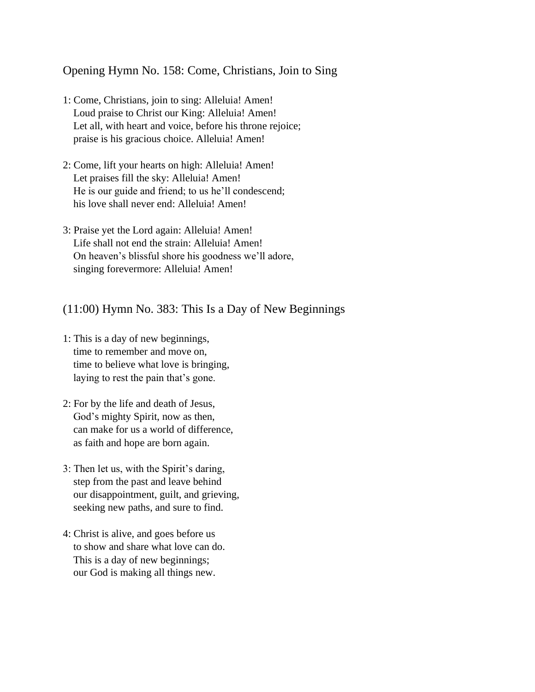Opening Hymn No. 158: Come, Christians, Join to Sing

- 1: Come, Christians, join to sing: Alleluia! Amen! Loud praise to Christ our King: Alleluia! Amen! Let all, with heart and voice, before his throne rejoice; praise is his gracious choice. Alleluia! Amen!
- 2: Come, lift your hearts on high: Alleluia! Amen! Let praises fill the sky: Alleluia! Amen! He is our guide and friend; to us he'll condescend; his love shall never end: Alleluia! Amen!
- 3: Praise yet the Lord again: Alleluia! Amen! Life shall not end the strain: Alleluia! Amen! On heaven's blissful shore his goodness we'll adore, singing forevermore: Alleluia! Amen!

(11:00) Hymn No. 383: This Is a Day of New Beginnings

- 1: This is a day of new beginnings, time to remember and move on, time to believe what love is bringing, laying to rest the pain that's gone.
- 2: For by the life and death of Jesus, God's mighty Spirit, now as then, can make for us a world of difference, as faith and hope are born again.
- 3: Then let us, with the Spirit's daring, step from the past and leave behind our disappointment, guilt, and grieving, seeking new paths, and sure to find.
- 4: Christ is alive, and goes before us to show and share what love can do. This is a day of new beginnings; our God is making all things new.